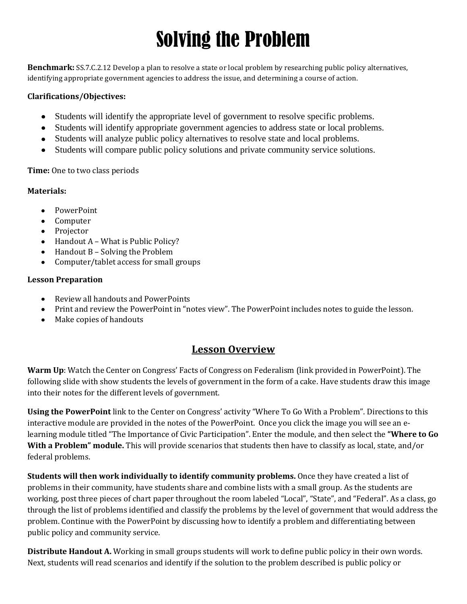# Solving the Problem

**Benchmark:** SS.7.C.2.12 Develop a plan to resolve a state or local problem by researching public policy alternatives, identifying appropriate government agencies to address the issue, and determining a course of action.

### **Clarifications/Objectives:**

- Students will identify the appropriate level of government to resolve specific problems.
- Students will identify appropriate government agencies to address state or local problems.
- Students will analyze public policy alternatives to resolve state and local problems.
- Students will compare public policy solutions and private community service solutions.

**Time:** One to two class periods

## **Materials:**

- PowerPoint
- Computer
- Projector
- $\bullet$  Handout A What is Public Policy?
- $\bullet$  Handout B Solving the Problem
- Computer/tablet access for small groups

## **Lesson Preparation**

- Review all handouts and PowerPoints
- Print and review the PowerPoint in "notes view". The PowerPoint includes notes to guide the lesson.
- Make copies of handouts

# **Lesson Overview**

**Warm Up**: Watch the Center on Congress' Facts of Congress on Federalism (link provided in PowerPoint). The following slide with show students the levels of government in the form of a cake. Have students draw this image into their notes for the different levels of government.

**Using the PowerPoint** link to the Center on Congress' activity "Where To Go With a Problem". Directions to this interactive module are provided in the notes of the PowerPoint. Once you click the image you will see an elearning module titled "The Importance of Civic Participation". Enter the module, and then select the **"Where to Go With a Problem" module.** This will provide scenarios that students then have to classify as local, state, and/or federal problems.

**Students will then work individually to identify community problems.** Once they have created a list of problems in their community, have students share and combine lists with a small group. As the students are working, post three pieces of chart paper throughout the room labeled "Local", "State", and "Federal". As a class, go through the list of problems identified and classify the problems by the level of government that would address the problem. Continue with the PowerPoint by discussing how to identify a problem and differentiating between public policy and community service.

**Distribute Handout A.** Working in small groups students will work to define public policy in their own words. Next, students will read scenarios and identify if the solution to the problem described is public policy or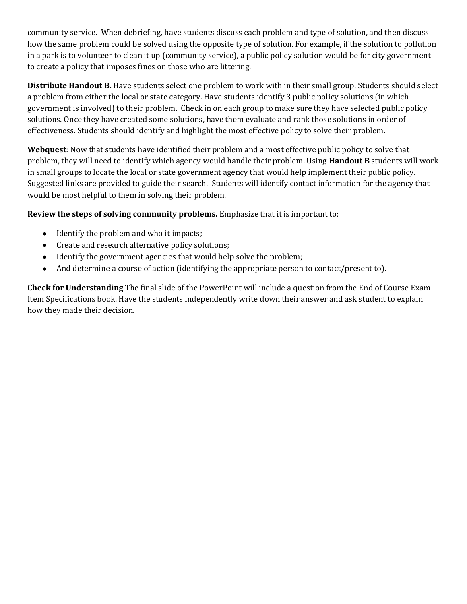community service. When debriefing, have students discuss each problem and type of solution, and then discuss how the same problem could be solved using the opposite type of solution. For example, if the solution to pollution in a park is to volunteer to clean it up (community service), a public policy solution would be for city government to create a policy that imposes fines on those who are littering.

**Distribute Handout B.** Have students select one problem to work with in their small group. Students should select a problem from either the local or state category. Have students identify 3 public policy solutions (in which government is involved) to their problem. Check in on each group to make sure they have selected public policy solutions. Once they have created some solutions, have them evaluate and rank those solutions in order of effectiveness. Students should identify and highlight the most effective policy to solve their problem.

**Webquest**: Now that students have identified their problem and a most effective public policy to solve that problem, they will need to identify which agency would handle their problem. Using **Handout B** students will work in small groups to locate the local or state government agency that would help implement their public policy. Suggested links are provided to guide their search. Students will identify contact information for the agency that would be most helpful to them in solving their problem.

**Review the steps of solving community problems.** Emphasize that it is important to:

- Identify the problem and who it impacts;
- Create and research alternative policy solutions;
- Identify the government agencies that would help solve the problem;
- And determine a course of action (identifying the appropriate person to contact/present to).  $\bullet$

**Check for Understanding** The final slide of the PowerPoint will include a question from the End of Course Exam Item Specifications book. Have the students independently write down their answer and ask student to explain how they made their decision.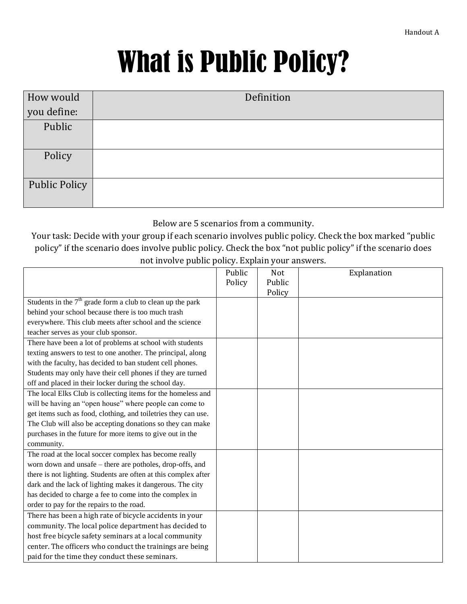# What is Public Policy?

| How would            | Definition |  |  |
|----------------------|------------|--|--|
| you define:          |            |  |  |
| Public               |            |  |  |
| Policy               |            |  |  |
| <b>Public Policy</b> |            |  |  |

# Below are 5 scenarios from a community.

# Your task: Decide with your group if each scenario involves public policy. Check the box marked "public policy" if the scenario does involve public policy. Check the box "not public policy" if the scenario does not involve public policy. Explain your answers.

|                                                                 | Public<br>Policy | Not<br>Public<br>Policy | Explanation |
|-----------------------------------------------------------------|------------------|-------------------------|-------------|
| Students in the $7th$ grade form a club to clean up the park    |                  |                         |             |
| behind your school because there is too much trash              |                  |                         |             |
| everywhere. This club meets after school and the science        |                  |                         |             |
| teacher serves as your club sponsor.                            |                  |                         |             |
| There have been a lot of problems at school with students       |                  |                         |             |
| texting answers to test to one another. The principal, along    |                  |                         |             |
| with the faculty, has decided to ban student cell phones.       |                  |                         |             |
| Students may only have their cell phones if they are turned     |                  |                         |             |
| off and placed in their locker during the school day.           |                  |                         |             |
| The local Elks Club is collecting items for the homeless and    |                  |                         |             |
| will be having an "open house" where people can come to         |                  |                         |             |
| get items such as food, clothing, and toiletries they can use.  |                  |                         |             |
| The Club will also be accepting donations so they can make      |                  |                         |             |
| purchases in the future for more items to give out in the       |                  |                         |             |
| community.                                                      |                  |                         |             |
| The road at the local soccer complex has become really          |                  |                         |             |
| worn down and unsafe – there are potholes, drop-offs, and       |                  |                         |             |
| there is not lighting. Students are often at this complex after |                  |                         |             |
| dark and the lack of lighting makes it dangerous. The city      |                  |                         |             |
| has decided to charge a fee to come into the complex in         |                  |                         |             |
| order to pay for the repairs to the road.                       |                  |                         |             |
| There has been a high rate of bicycle accidents in your         |                  |                         |             |
| community. The local police department has decided to           |                  |                         |             |
| host free bicycle safety seminars at a local community          |                  |                         |             |
| center. The officers who conduct the trainings are being        |                  |                         |             |
| paid for the time they conduct these seminars.                  |                  |                         |             |